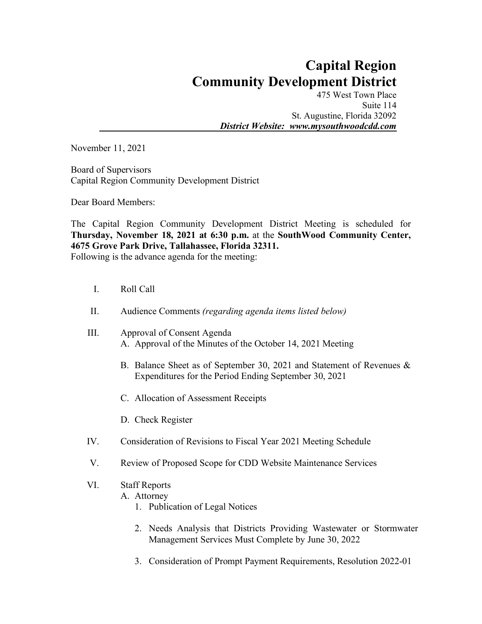## **Capital Region Community Development District**

475 West Town Place Suite 114 St. Augustine, Florida 32092 *District Website: www.mysouthwoodcdd.com*

November 11, 2021

Board of Supervisors Capital Region Community Development District

Dear Board Members:

The Capital Region Community Development District Meeting is scheduled for **Thursday, November 18, 2021 at 6:30 p.m.** at the **SouthWood Community Center, 4675 Grove Park Drive, Tallahassee, Florida 32311.**  Following is the advance agenda for the meeting:

- I. Roll Call
- II. Audience Comments *(regarding agenda items listed below)*
- III. Approval of Consent Agenda A. Approval of the Minutes of the October 14, 2021 Meeting
	- B. Balance Sheet as of September 30, 2021 and Statement of Revenues & Expenditures for the Period Ending September 30, 2021
	- C. Allocation of Assessment Receipts
	- D. Check Register
- IV. Consideration of Revisions to Fiscal Year 2021 Meeting Schedule
- V. Review of Proposed Scope for CDD Website Maintenance Services

## VI. Staff Reports

A. Attorney

- 1. Publication of Legal Notices
- 2. Needs Analysis that Districts Providing Wastewater or Stormwater Management Services Must Complete by June 30, 2022
- 3. Consideration of Prompt Payment Requirements, Resolution 2022-01